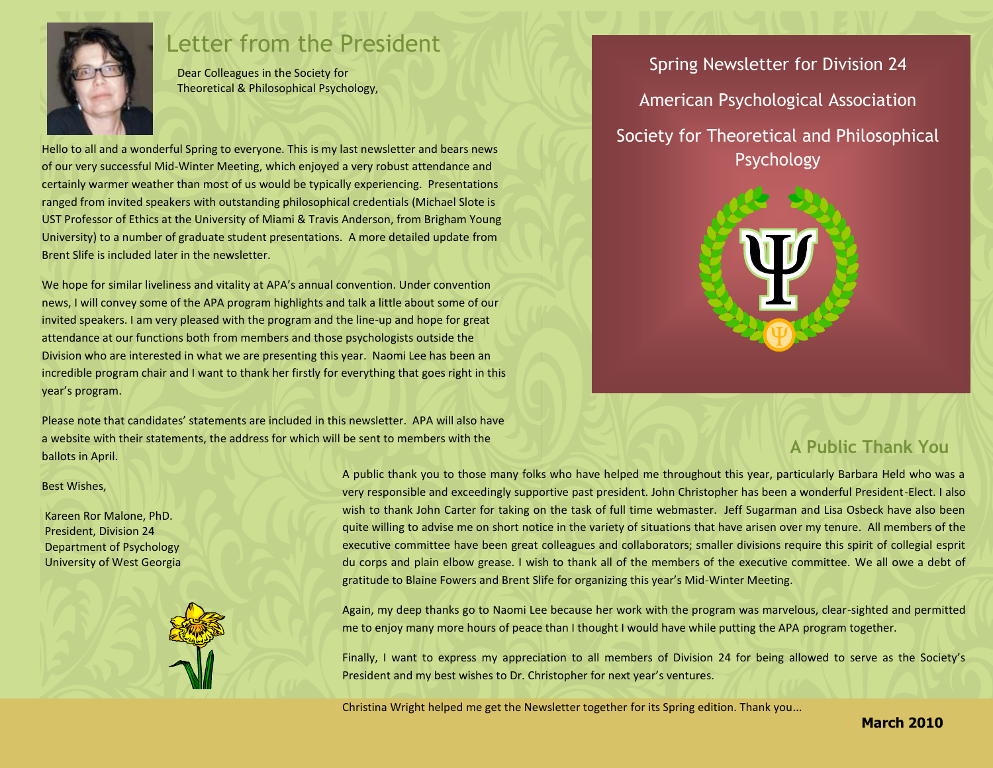

## Letter from the President

Dear Colleagues in the Society for Theoretical & Philosophical Psychology,

Hello to all and a wonderful Spring to everyone. This is my last newsletter and bears news of our very successful Mid-Winter Meeting, which enjoyed a very robust attendance and certainly warmer weather than most of us would be typically experiencing. Presentations ranged from invited speakers with outstanding philosophical credentials (Michael Slote is UST Professor of Ethics at the University of Miami & Travis Anderson, from Brigham Young University) to a number of graduate student presentations. A more detailed update from Brent Slife is included later in the newsletter.

We hope for similar liveliness and vitality at APA's annual convention. Under convention news, I will convey some of the APA program highlights and talk a little about some of our invited speakers. I am very pleased with the program and the line-up and hope for great attendance at our functions both from members and those psychologists outside the Division who are interested in what we are presenting this year. Naomi Lee has been an incredible program chair and I want to thank her firstly for everything that goes right in this year's program.

Please note that candidates' statements are included in this newsletter. APA will also have a website with their statements, the address for which will be sent to members with the ballots in April.

Spring Newsletter for Division 24 American Psychological Association Society for Theoretical and Philosophical Psychology



## **A Public Thank You**

#### Best Wishes,

Kareen Ror Malone, PhD. President, Division 24 Department of Psychology University of West Georgia



A public thank you to those many folks who have helped me throughout this year, particularly Barbara Held who was a very responsible and exceedingly supportive past president. John Christopher has been a wonderful President-Elect. I also wish to thank John Carter for taking on the task of full time webmaster. Jeff Sugarman and Lisa Osbeck have also been quite willing to advise me on short notice in the variety of situations that have arisen over my tenure. All members of the executive committee have been great colleagues and collaborators; smaller divisions require this spirit of collegial esprit du corps and plain elbow grease. I wish to thank all of the members of the executive committee. We all owe a debt of gratitude to Blaine Fowers and Brent Slife for organizing this year's Mid-Winter Meeting.

Again, my deep thanks go to Naomi Lee because her work with the program was marvelous, clear-sighted and permitted me to enjoy many more hours of peace than I thought I would have while putting the APA program together.

Finally, I want to express my appreciation to all members of Division 24 for being allowed to serve as the Society's President and my best wishes to Dr. Christopher for next year's ventures.

Christina Wright helped me get the Newsletter together for its Spring edition. Thank you…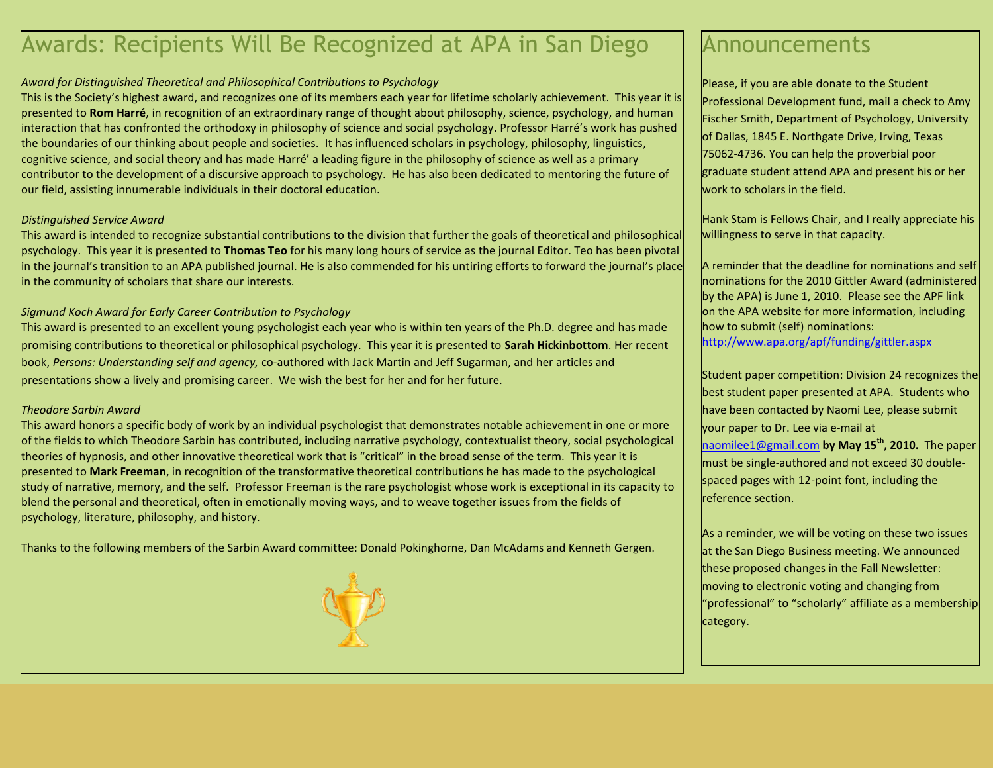# Awards: Recipients Will Be Recognized at APA in San Diego

#### *Award for Distinguished Theoretical and Philosophical Contributions to Psychology*

This is the Society's highest award, and recognizes one of its members each year for lifetime scholarly achievement. This year it is presented to **Rom Harré**, in recognition of an extraordinary range of thought about philosophy, science, psychology, and human interaction that has confronted the orthodoxy in philosophy of science and social psychology. Professor Harré's work has pushed the boundaries of our thinking about people and societies. It has influenced scholars in psychology, philosophy, linguistics, cognitive science, and social theory and has made Harré' a leading figure in the philosophy of science as well as a primary contributor to the development of a discursive approach to psychology. He has also been dedicated to mentoring the future of our field, assisting innumerable individuals in their doctoral education.

#### *Distinguished Service Award*

This award is intended to recognize substantial contributions to the division that further the goals of theoretical and philosophical psychology. This year it is presented to **Thomas Teo** for his many long hours of service as the journal Editor. Teo has been pivotal in the journal's transition to an APA published journal. He is also commended for his untiring efforts to forward the journal's place in the community of scholars that share our interests.

#### *Sigmund Koch Award for Early Career Contribution to Psychology*

This award is presented to an excellent young psychologist each year who is within ten years of the Ph.D. degree and has made promising contributions to theoretical or philosophical psychology. This year it is presented to **Sarah Hickinbottom**. Her recent book, *Persons: Understanding self and agency,* co-authored with Jack Martin and Jeff Sugarman, and her articles and presentations show a lively and promising career. We wish the best for her and for her future.

#### *Theodore Sarbin Award*

This award honors a specific body of work by an individual psychologist that demonstrates notable achievement in one or more of the fields to which Theodore Sarbin has contributed, including narrative psychology, contextualist theory, social psychological theories of hypnosis, and other innovative theoretical work that is "critical" in the broad sense of the term. This year it is presented to **Mark Freeman**, in recognition of the transformative theoretical contributions he has made to the psychological study of narrative, memory, and the self. Professor Freeman is the rare psychologist whose work is exceptional in its capacity to blend the personal and theoretical, often in emotionally moving ways, and to weave together issues from the fields of psychology, literature, philosophy, and history.

Thanks to the following members of the Sarbin Award committee: Donald Pokinghorne, Dan McAdams and Kenneth Gergen.



## Announcements

Please, if you are able donate to the Student Professional Development fund, mail a check to Amy Fischer Smith, Department of Psychology, University of Dallas, 1845 E. Northgate Drive, Irving, Texas 75062-4736. You can help the proverbial poor graduate student attend APA and present his or her work to scholars in the field.

Hank Stam is Fellows Chair, and I really appreciate his willingness to serve in that capacity.

A reminder that the deadline for nominations and self nominations for the 2010 Gittler Award (administered by the APA) is June 1, 2010. Please see the APF link on the APA website for more information, including how to submit (self) nominations: <http://www.apa.org/apf/funding/gittler.aspx>

Student paper competition: Division 24 recognizes the best student paper presented at APA. Students who have been contacted by Naomi Lee, please submit your paper to Dr. Lee via e-mail at [naomilee1@gmail.com](mailto:naomilee1@gmail.com) **by May 15th, 2010.** The paper must be single-authored and not exceed 30 doublespaced pages with 12-point font, including the reference section.

As a reminder, we will be voting on these two issues at the San Diego Business meeting. We announced these proposed changes in the Fall Newsletter: moving to electronic voting and changing from "professional" to "scholarly" affiliate as a membership category.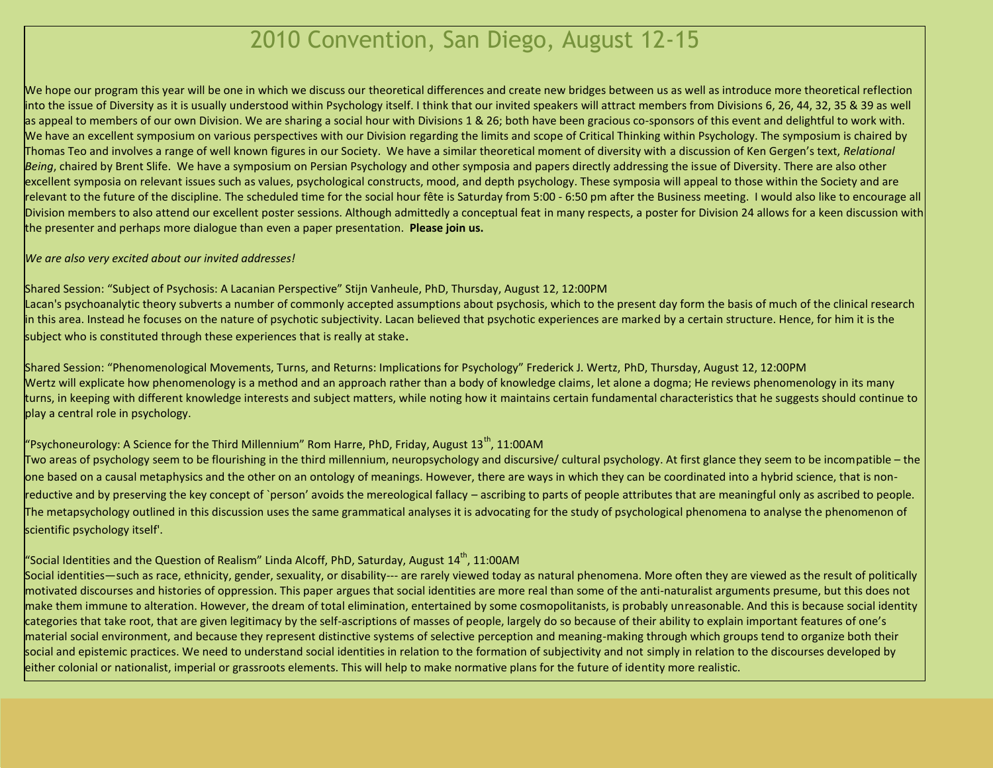# 2010 Convention, San Diego, August 12-15

We hope our program this year will be one in which we discuss our theoretical differences and create new bridges between us as well as introduce more theoretical reflection into the issue of Diversity as it is usually understood within Psychology itself. I think that our invited speakers will attract members from Divisions 6, 26, 44, 32, 35 & 39 as well as appeal to members of our own Division. We are sharing a social hour with Divisions 1 & 26; both have been gracious co-sponsors of this event and delightful to work with. We have an excellent symposium on various perspectives with our Division regarding the limits and scope of Critical Thinking within Psychology. The symposium is chaired by Thomas Teo and involves a range of well known figures in our Society. We have a similar theoretical moment of diversity with a discussion of Ken Gergen's text, *Relational Being*, chaired by Brent Slife. We have a symposium on Persian Psychology and other symposia and papers directly addressing the issue of Diversity. There are also other excellent symposia on relevant issues such as values, psychological constructs, mood, and depth psychology. These symposia will appeal to those within the Society and are relevant to the future of the discipline. The scheduled time for the social hour fête is Saturday from 5:00 - 6:50 pm after the Business meeting. I would also like to encourage all Division members to also attend our excellent poster sessions. Although admittedly a conceptual feat in many respects, a poster for Division 24 allows for a keen discussion with the presenter and perhaps more dialogue than even a paper presentation. **Please join us.** 

#### *We are also very excited about our invited addresses!*

#### Shared Session: "Subject of Psychosis: A Lacanian Perspective" Stijn Vanheule, PhD, Thursday, August 12, 12:00PM

Lacan's psychoanalytic theory subverts a number of commonly accepted assumptions about psychosis, which to the present day form the basis of much of the clinical research in this area. Instead he focuses on the nature of psychotic subjectivity. Lacan believed that psychotic experiences are marked by a certain structure. Hence, for him it is the subject who is constituted through these experiences that is really at stake.

Shared Session: "Phenomenological Movements, Turns, and Returns: Implications for Psychology" Frederick J. Wertz, PhD, Thursday, August 12, 12:00PM Wertz will explicate how phenomenology is a method and an approach rather than a body of knowledge claims, let alone a dogma; He reviews phenomenology in its many turns, in keeping with different knowledge interests and subject matters, while noting how it maintains certain fundamental characteristics that he suggests should continue to play a central role in psychology.

#### "Psychoneurology: A Science for the Third Millennium" Rom Harre, PhD, Friday, August  $13<sup>th</sup>$ , 11:00AM

Two areas of psychology seem to be flourishing in the third millennium, neuropsychology and discursive/ cultural psychology. At first glance they seem to be incompatible – the one based on a causal metaphysics and the other on an ontology of meanings. However, there are ways in which they can be coordinated into a hybrid science, that is nonreductive and by preserving the key concept of `person' avoids the mereological fallacy – ascribing to parts of people attributes that are meaningful only as ascribed to people. The metapsychology outlined in this discussion uses the same grammatical analyses it is advocating for the study of psychological phenomena to analyse the phenomenon of scientific psychology itself'.

#### "Social Identities and the Question of Realism" Linda Alcoff, PhD, Saturday, August  $14^{\text{th}}$ , 11:00AM

Social identities—such as race, ethnicity, gender, sexuality, or disability--- are rarely viewed today as natural phenomena. More often they are viewed as the result of politically motivated discourses and histories of oppression. This paper argues that social identities are more real than some of the anti-naturalist arguments presume, but this does not make them immune to alteration. However, the dream of total elimination, entertained by some cosmopolitanists, is probably unreasonable. And this is because social identity categories that take root, that are given legitimacy by the self-ascriptions of masses of people, largely do so because of their ability to explain important features of one's material social environment, and because they represent distinctive systems of selective perception and meaning-making through which groups tend to organize both their social and epistemic practices. We need to understand social identities in relation to the formation of subjectivity and not simply in relation to the discourses developed by either colonial or nationalist, imperial or grassroots elements. This will help to make normative plans for the future of identity more realistic.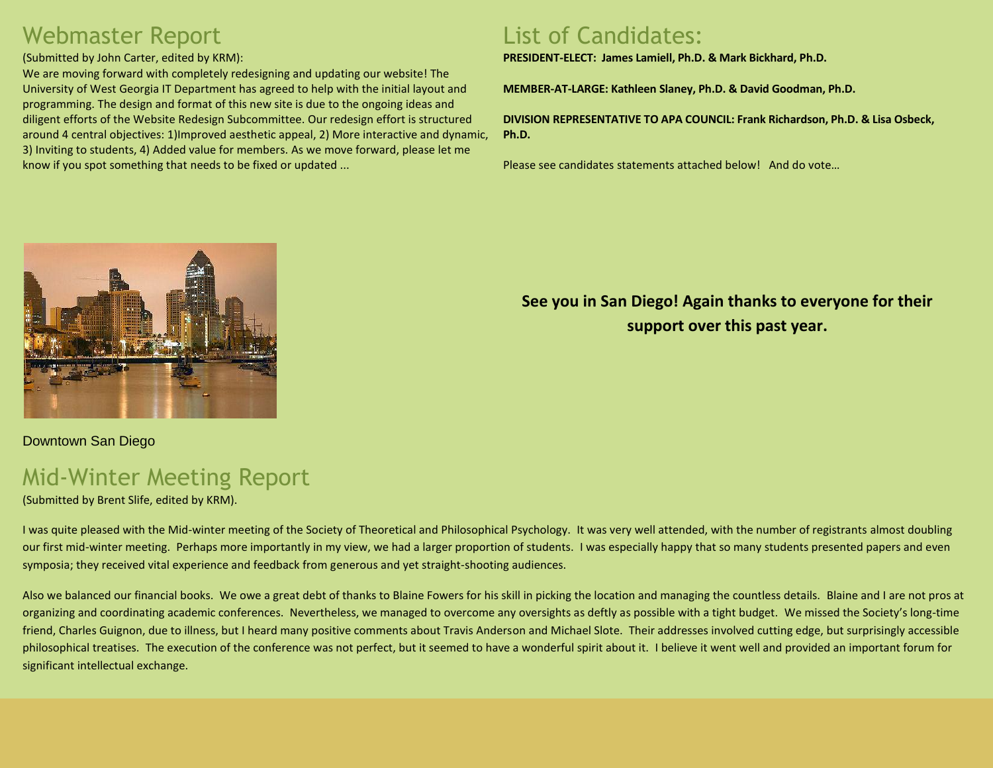# Webmaster Report

#### (Submitted by John Carter, edited by KRM):

We are moving forward with completely redesigning and updating our website! The University of West Georgia IT Department has agreed to help with the initial layout and programming. The design and format of this new site is due to the ongoing ideas and diligent efforts of the Website Redesign Subcommittee. Our redesign effort is structured around 4 central objectives: 1)Improved aesthetic appeal, 2) More interactive and dynamic, 3) Inviting to students, 4) Added value for members. As we move forward, please let me know if you spot something that needs to be fixed or updated ...

## List of Candidates:

**PRESIDENT-ELECT: James Lamiell, Ph.D. & Mark Bickhard, Ph.D.**

**MEMBER-AT-LARGE: Kathleen Slaney, Ph.D. & David Goodman, Ph.D.**

**DIVISION REPRESENTATIVE TO APA COUNCIL: Frank Richardson, Ph.D. & Lisa Osbeck, Ph.D.** 

Please see candidates statements attached below! And do vote…



Downtown San Diego

# Mid-Winter Meeting Report

(Submitted by Brent Slife, edited by KRM).

**See you in San Diego! Again thanks to everyone for their support over this past year.**

I was quite pleased with the Mid-winter meeting of the Society of Theoretical and Philosophical Psychology. It was very well attended, with the number of registrants almost doubling our first mid-winter meeting. Perhaps more importantly in my view, we had a larger proportion of students. I was especially happy that so many students presented papers and even symposia; they received vital experience and feedback from generous and yet straight-shooting audiences.

Also we balanced our financial books. We owe a great debt of thanks to Blaine Fowers for his skill in picking the location and managing the countless details. Blaine and I are not pros at organizing and coordinating academic conferences. Nevertheless, we managed to overcome any oversights as deftly as possible with a tight budget. We missed the Society's long-time friend, Charles Guignon, due to illness, but I heard many positive comments about Travis Anderson and Michael Slote. Their addresses involved cutting edge, but surprisingly accessible philosophical treatises. The execution of the conference was not perfect, but it seemed to have a wonderful spirit about it. I believe it went well and provided an important forum for significant intellectual exchange.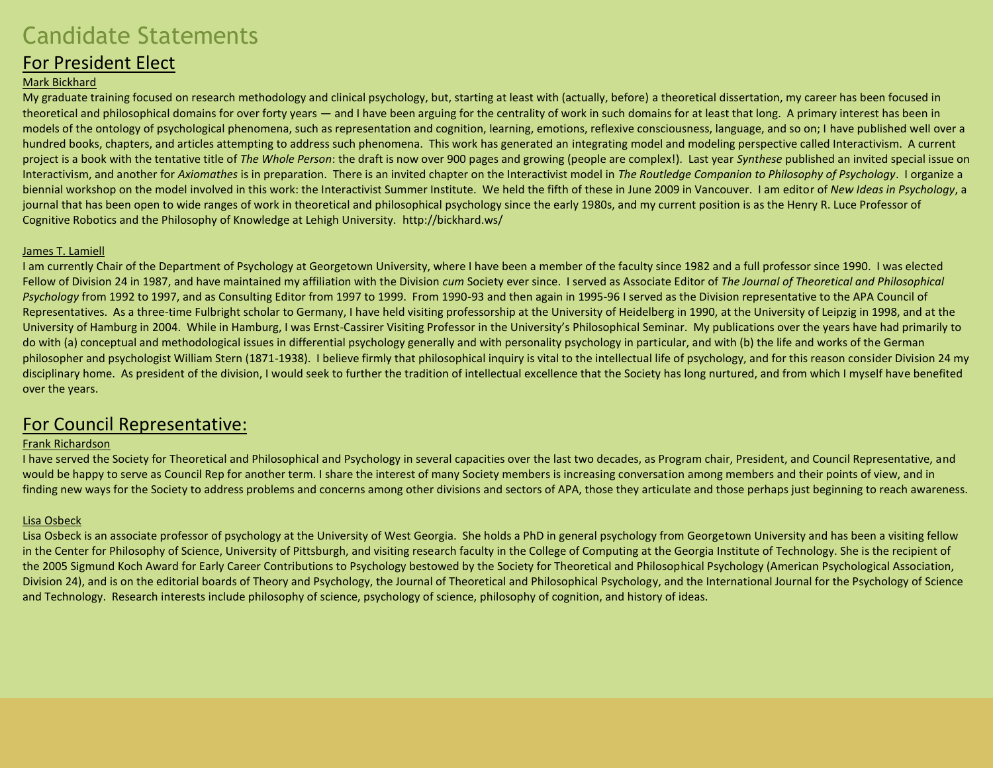# Candidate Statements

### For President Elect

#### Mark Bickhard

My graduate training focused on research methodology and clinical psychology, but, starting at least with (actually, before) a theoretical dissertation, my career has been focused in theoretical and philosophical domains for over forty years — and I have been arguing for the centrality of work in such domains for at least that long. A primary interest has been in models of the ontology of psychological phenomena, such as representation and cognition, learning, emotions, reflexive consciousness, language, and so on; I have published well over a hundred books, chapters, and articles attempting to address such phenomena. This work has generated an integrating model and modeling perspective called Interactivism. A current project is a book with the tentative title of *The Whole Person*: the draft is now over 900 pages and growing (people are complex!). Last year *Synthese* published an invited special issue on Interactivism, and another for *Axiomathes* is in preparation. There is an invited chapter on the Interactivist model in *The Routledge Companion to Philosophy of Psychology*. I organize a biennial workshop on the model involved in this work: the Interactivist Summer Institute. We held the fifth of these in June 2009 in Vancouver. I am editor of *New Ideas in Psychology*, a journal that has been open to wide ranges of work in theoretical and philosophical psychology since the early 1980s, and my current position is as the Henry R. Luce Professor of Cognitive Robotics and the Philosophy of Knowledge at Lehigh University. http://bickhard.ws/

#### James T. Lamiell

I am currently Chair of the Department of Psychology at Georgetown University, where I have been a member of the faculty since 1982 and a full professor since 1990. I was elected Fellow of Division 24 in 1987, and have maintained my affiliation with the Division *cum* Society ever since. I served as Associate Editor of *The Journal of Theoretical and Philosophical Psychology* from 1992 to 1997, and as Consulting Editor from 1997 to 1999. From 1990-93 and then again in 1995-96 I served as the Division representative to the APA Council of Representatives. As a three-time Fulbright scholar to Germany, I have held visiting professorship at the University of Heidelberg in 1990, at the University of Leipzig in 1998, and at the University of Hamburg in 2004. While in Hamburg, I was Ernst-Cassirer Visiting Professor in the University's Philosophical Seminar. My publications over the years have had primarily to do with (a) conceptual and methodological issues in differential psychology generally and with personality psychology in particular, and with (b) the life and works of the German philosopher and psychologist William Stern (1871-1938). I believe firmly that philosophical inquiry is vital to the intellectual life of psychology, and for this reason consider Division 24 my disciplinary home. As president of the division, I would seek to further the tradition of intellectual excellence that the Society has long nurtured, and from which I myself have benefited over the years.

### For Council Representative:

#### Frank Richardson

I have served the Society for Theoretical and Philosophical and Psychology in several capacities over the last two decades, as Program chair, President, and Council Representative, and would be happy to serve as Council Rep for another term. I share the interest of many Society members is increasing conversation among members and their points of view, and in finding new ways for the Society to address problems and concerns among other divisions and sectors of APA, those they articulate and those perhaps just beginning to reach awareness.

#### Lisa Osbeck

Lisa Osbeck is an associate professor of psychology at the University of West Georgia. She holds a PhD in general psychology from Georgetown University and has been a visiting fellow in the Center for Philosophy of Science, University of Pittsburgh, and visiting research faculty in the College of Computing at the Georgia Institute of Technology. She is the recipient of the 2005 Sigmund Koch Award for Early Career Contributions to Psychology bestowed by the Society for Theoretical and Philosophical Psychology (American Psychological Association, Division 24), and is on the editorial boards of Theory and Psychology, the Journal of Theoretical and Philosophical Psychology, and the International Journal for the Psychology of Science and Technology. Research interests include philosophy of science, psychology of science, philosophy of cognition, and history of ideas.